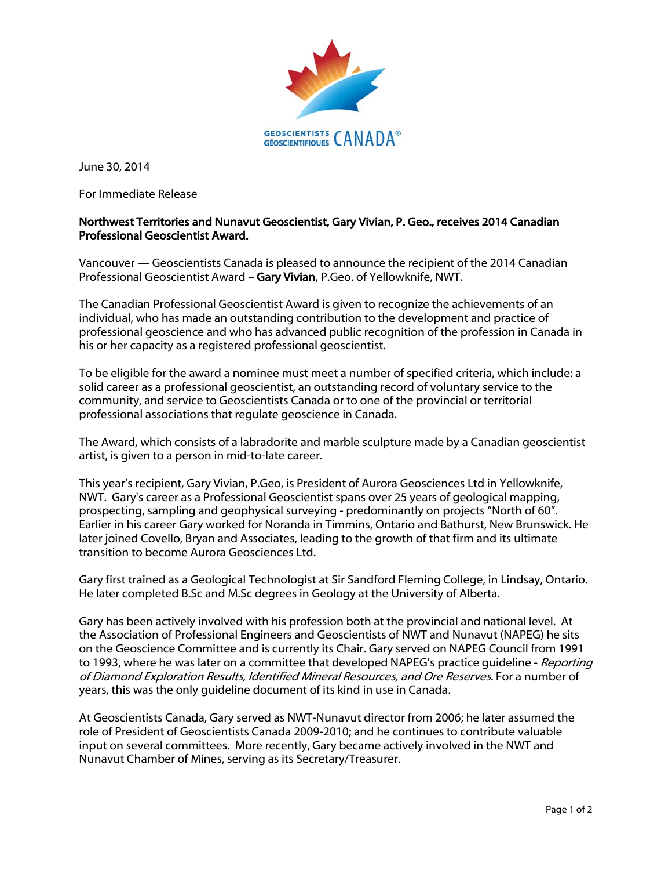

June 30, 2014

For Immediate Release

## Northwest Territories and Nunavut Geoscientist, Gary Vivian, P. Geo., receives 2014 Canadian Professional Geoscientist Award.

Vancouver — Geoscientists Canada is pleased to announce the recipient of the 2014 Canadian Professional Geoscientist Award – Gary Vivian, P.Geo. of Yellowknife, NWT.

The Canadian Professional Geoscientist Award is given to recognize the achievements of an individual, who has made an outstanding contribution to the development and practice of professional geoscience and who has advanced public recognition of the profession in Canada in his or her capacity as a registered professional geoscientist.

To be eligible for the award a nominee must meet a number of specified criteria, which include: a solid career as a professional geoscientist, an outstanding record of voluntary service to the community, and service to Geoscientists Canada or to one of the provincial or territorial professional associations that regulate geoscience in Canada.

The Award, which consists of a labradorite and marble sculpture made by a Canadian geoscientist artist, is given to a person in mid-to-late career.

This year's recipient, Gary Vivian, P.Geo, is President of Aurora Geosciences Ltd in Yellowknife, NWT. Gary's career as a Professional Geoscientist spans over 25 years of geological mapping, prospecting, sampling and geophysical surveying - predominantly on projects "North of 60". Earlier in his career Gary worked for Noranda in Timmins, Ontario and Bathurst, New Brunswick. He later joined Covello, Bryan and Associates, leading to the growth of that firm and its ultimate transition to become Aurora Geosciences Ltd.

Gary first trained as a Geological Technologist at Sir Sandford Fleming College, in Lindsay, Ontario. He later completed B.Sc and M.Sc degrees in Geology at the University of Alberta.

Gary has been actively involved with his profession both at the provincial and national level. At the Association of Professional Engineers and Geoscientists of NWT and Nunavut (NAPEG) he sits on the Geoscience Committee and is currently its Chair. Gary served on NAPEG Council from 1991 to 1993, where he was later on a committee that developed NAPEG's practice quideline - Reporting of Diamond Exploration Results, Identified Mineral Resources, and Ore Reserves. For a number of years, this was the only guideline document of its kind in use in Canada.

At Geoscientists Canada, Gary served as NWT-Nunavut director from 2006; he later assumed the role of President of Geoscientists Canada 2009-2010; and he continues to contribute valuable input on several committees. More recently, Gary became actively involved in the NWT and Nunavut Chamber of Mines, serving as its Secretary/Treasurer.